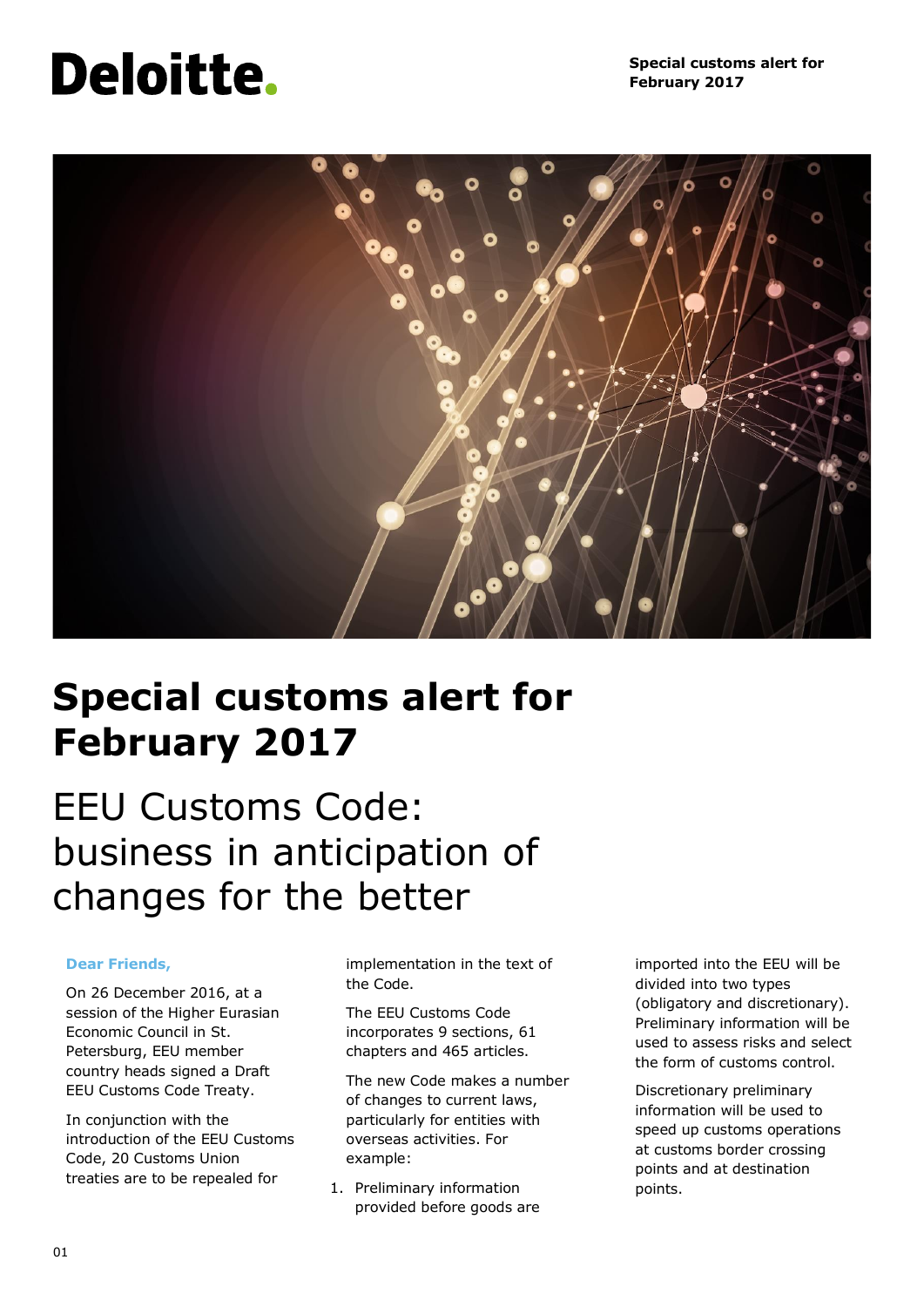# Deloitte.



## **Special customs alert for February 2017**

## EEU Customs Code: business in anticipation of changes for the better

#### **Dear Friends,**

On 26 December 2016, at a session of the Higher Eurasian Economic Council in St. Petersburg, EEU member country heads signed a Draft EEU Customs Code Treaty.

In conjunction with the introduction of the EEU Customs Code, 20 Customs Union treaties are to be repealed for

implementation in the text of the Code.

The EEU Customs Code incorporates 9 sections, 61 chapters and 465 articles.

The new Code makes a number of changes to current laws, particularly for entities with overseas activities. For example:

1. Preliminary information provided before goods are imported into the EEU will be divided into two types (obligatory and discretionary). Preliminary information will be used to assess risks and select the form of customs control.

Discretionary preliminary information will be used to speed up customs operations at customs border crossing points and at destination points.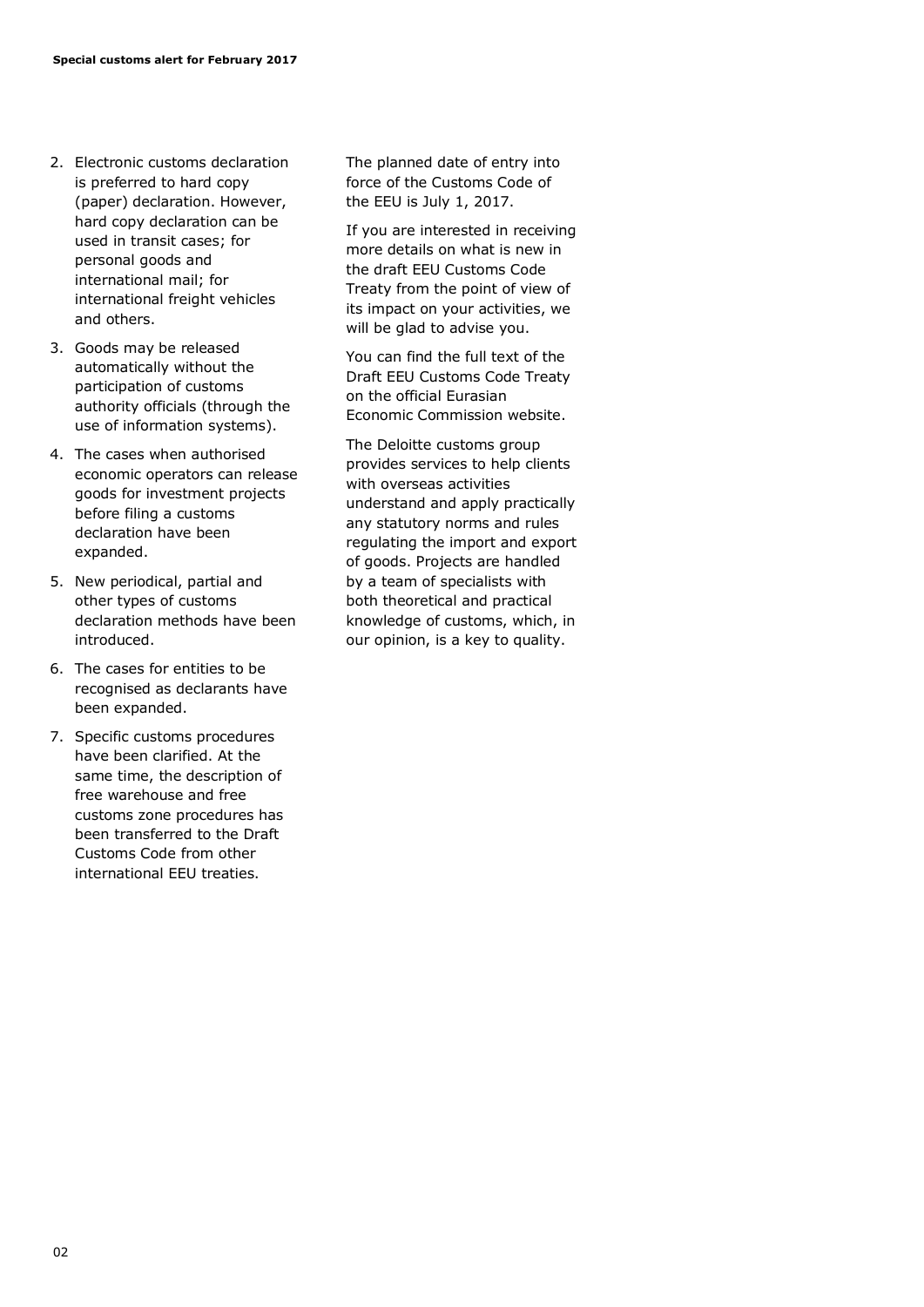- 2. Electronic customs declaration is preferred to hard copy (paper) declaration. However, hard copy declaration can be used in transit cases; for personal goods and international mail; for international freight vehicles and others.
- 3. Goods may be released automatically without the participation of customs authority officials (through the use of information systems).
- 4. The cases when authorised economic operators can release goods for investment projects before filing a customs declaration have been expanded.
- 5. New periodical, partial and other types of customs declaration methods have been introduced.
- 6. The cases for entities to be recognised as declarants have been expanded.
- 7. Specific customs procedures have been clarified. At the same time, the description of free warehouse and free customs zone procedures has been transferred to the Draft Customs Code from other international EEU treaties.

The planned date of entry into force of the Customs Code of the EEU is July 1, 2017.

If you are interested in receiving more details on what is new in the draft EEU Customs Code Treaty from the point of view of its impact on your activities, we will be glad to advise you.

You can find the full text of the Draft EEU Customs Code Treaty on the official Eurasian Economic Commission website.

The Deloitte customs group provides services to help clients with overseas activities understand and apply practically any statutory norms and rules regulating the import and export of goods. Projects are handled by a team of specialists with both theoretical and practical knowledge of customs, which, in our opinion, is a key to quality.